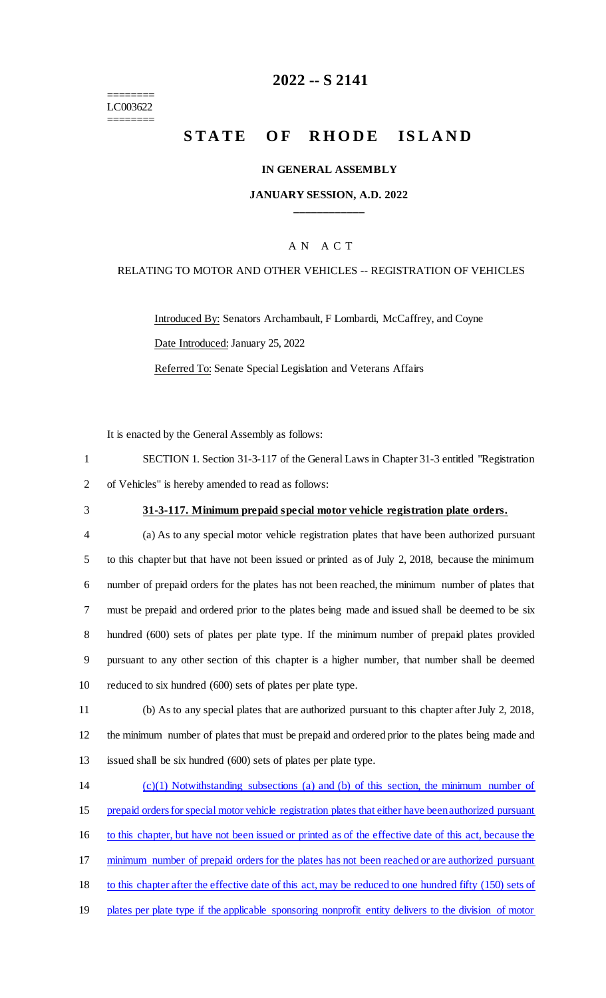======== LC003622 ========

# **2022 -- S 2141**

# **STATE OF RHODE ISLAND**

#### **IN GENERAL ASSEMBLY**

#### **JANUARY SESSION, A.D. 2022 \_\_\_\_\_\_\_\_\_\_\_\_**

## A N A C T

#### RELATING TO MOTOR AND OTHER VEHICLES -- REGISTRATION OF VEHICLES

Introduced By: Senators Archambault, F Lombardi, McCaffrey, and Coyne Date Introduced: January 25, 2022

Referred To: Senate Special Legislation and Veterans Affairs

It is enacted by the General Assembly as follows:

| SECTION 1. Section 31-3-117 of the General Laws in Chapter 31-3 entitled "Registration" |
|-----------------------------------------------------------------------------------------|
| 2 of Vehicles" is hereby amended to read as follows:                                    |

#### 3 **31-3-117. Minimum prepaid special motor vehicle registration plate orders.**

 (a) As to any special motor vehicle registration plates that have been authorized pursuant to this chapter but that have not been issued or printed as of July 2, 2018, because the minimum number of prepaid orders for the plates has not been reached, the minimum number of plates that must be prepaid and ordered prior to the plates being made and issued shall be deemed to be six hundred (600) sets of plates per plate type. If the minimum number of prepaid plates provided pursuant to any other section of this chapter is a higher number, that number shall be deemed reduced to six hundred (600) sets of plates per plate type.

11 (b) As to any special plates that are authorized pursuant to this chapter after July 2, 2018, 12 the minimum number of plates that must be prepaid and ordered prior to the plates being made and 13 issued shall be six hundred (600) sets of plates per plate type.

 (c)(1) Notwithstanding subsections (a) and (b) of this section, the minimum number of prepaid orders for special motor vehicle registration plates that either have been authorized pursuant to this chapter, but have not been issued or printed as of the effective date of this act, because the 17 minimum number of prepaid orders for the plates has not been reached or are authorized pursuant to this chapter after the effective date of this act, may be reduced to one hundred fifty (150) sets of plates per plate type if the applicable sponsoring nonprofit entity delivers to the division of motor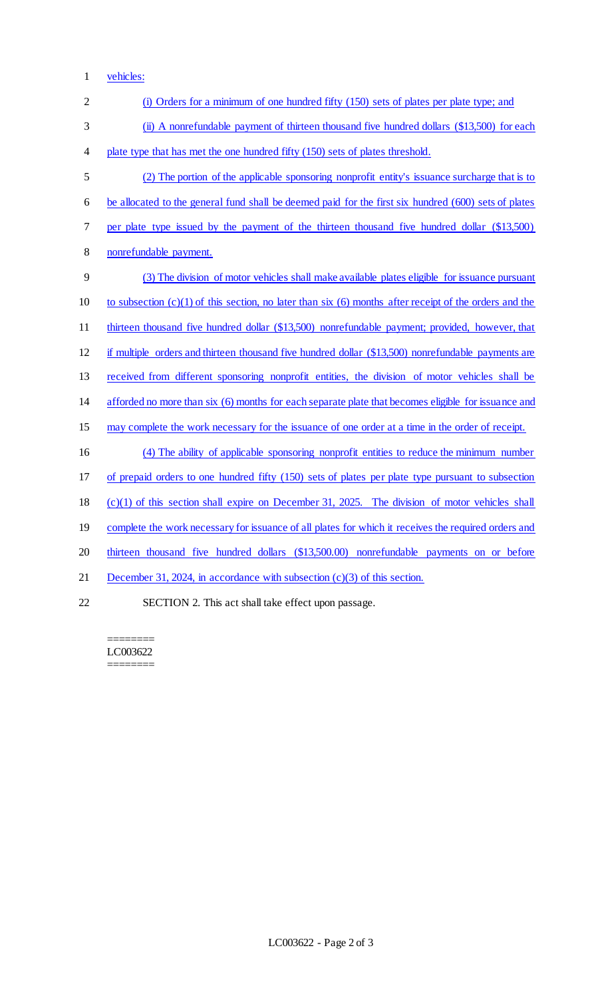1 vehicles:

| $\overline{2}$ | (i) Orders for a minimum of one hundred fifty (150) sets of plates per plate type; and                     |
|----------------|------------------------------------------------------------------------------------------------------------|
| 3              | (ii) A nonrefundable payment of thirteen thousand five hundred dollars (\$13,500) for each                 |
| 4              | plate type that has met the one hundred fifty (150) sets of plates threshold.                              |
| 5              | (2) The portion of the applicable sponsoring nonprofit entity's issuance surcharge that is to              |
| 6              | be allocated to the general fund shall be deemed paid for the first six hundred (600) sets of plates       |
| 7              | per plate type issued by the payment of the thirteen thousand five hundred dollar (\$13,500)               |
| 8              | nonrefundable payment.                                                                                     |
| 9              | (3) The division of motor vehicles shall make available plates eligible for issuance pursuant              |
| 10             | to subsection $(c)(1)$ of this section, no later than six $(6)$ months after receipt of the orders and the |
| 11             | thirteen thousand five hundred dollar (\$13,500) nonrefundable payment; provided, however, that            |
| 12             | if multiple orders and thirteen thousand five hundred dollar (\$13,500) nonrefundable payments are         |
| 13             | received from different sponsoring nonprofit entities, the division of motor vehicles shall be             |
| 14             | afforded no more than six (6) months for each separate plate that becomes eligible for issuance and        |
| 15             | may complete the work necessary for the issuance of one order at a time in the order of receipt.           |
| 16             | (4) The ability of applicable sponsoring nonprofit entities to reduce the minimum number                   |
| 17             | of prepaid orders to one hundred fifty (150) sets of plates per plate type pursuant to subsection          |
| 18             | $(c)(1)$ of this section shall expire on December 31, 2025. The division of motor vehicles shall           |
| 19             | complete the work necessary for issuance of all plates for which it receives the required orders and       |
| 20             | thirteen thousand five hundred dollars (\$13,500.00) nonrefundable payments on or before                   |
| 21             | December 31, 2024, in accordance with subsection $(c)(3)$ of this section.                                 |
| 22             | SECTION 2. This act shall take effect upon passage.                                                        |

======== LC003622 ========